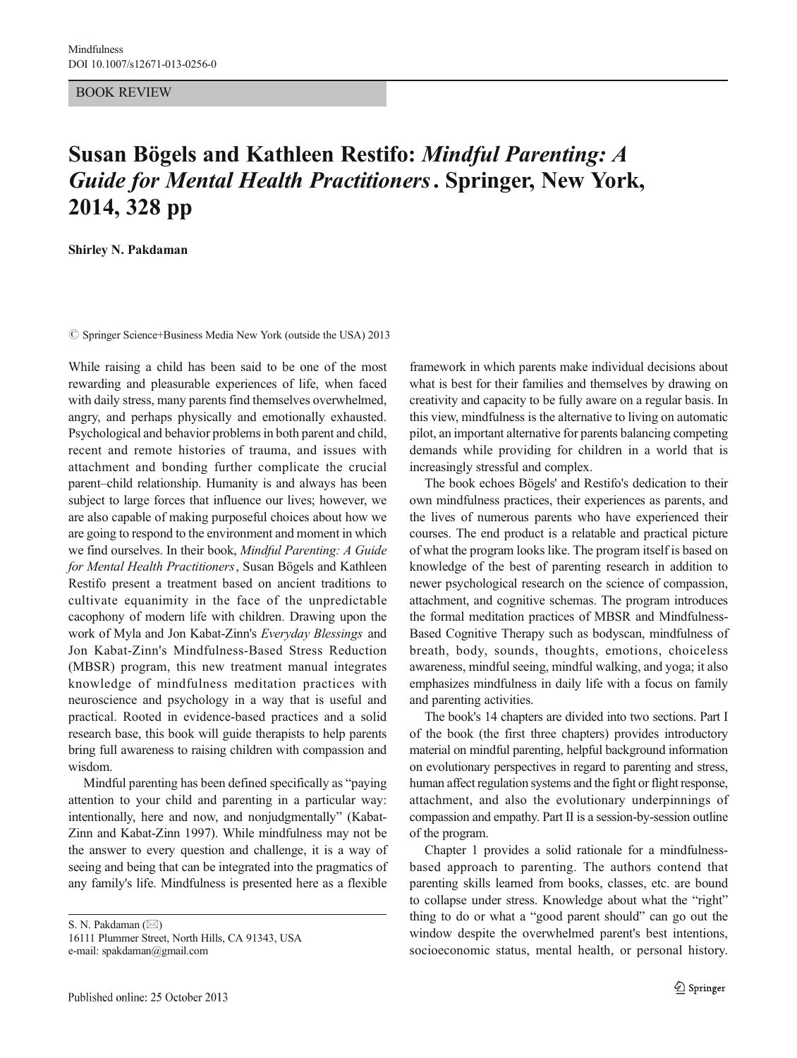BOOK REVIEW

## Susan Bögels and Kathleen Restifo: Mindful Parenting: A Guide for Mental Health Practitioners. Springer, New York, 2014, 328 pp

Shirley N. Pakdaman

 $\oslash$  Springer Science+Business Media New York (outside the USA) 2013

While raising a child has been said to be one of the most rewarding and pleasurable experiences of life, when faced with daily stress, many parents find themselves overwhelmed, angry, and perhaps physically and emotionally exhausted. Psychological and behavior problems in both parent and child, recent and remote histories of trauma, and issues with attachment and bonding further complicate the crucial parent–child relationship. Humanity is and always has been subject to large forces that influence our lives; however, we are also capable of making purposeful choices about how we are going to respond to the environment and moment in which we find ourselves. In their book, Mindful Parenting: A Guide for Mental Health Practitioners, Susan Bögels and Kathleen Restifo present a treatment based on ancient traditions to cultivate equanimity in the face of the unpredictable cacophony of modern life with children. Drawing upon the work of Myla and Jon Kabat-Zinn's Everyday Blessings and Jon Kabat-Zinn's Mindfulness-Based Stress Reduction (MBSR) program, this new treatment manual integrates knowledge of mindfulness meditation practices with neuroscience and psychology in a way that is useful and practical. Rooted in evidence-based practices and a solid research base, this book will guide therapists to help parents bring full awareness to raising children with compassion and wisdom.

Mindful parenting has been defined specifically as "paying attention to your child and parenting in a particular way: intentionally, here and now, and nonjudgmentally" (Kabat-Zinn and Kabat-Zinn 1997). While mindfulness may not be the answer to every question and challenge, it is a way of seeing and being that can be integrated into the pragmatics of any family's life. Mindfulness is presented here as a flexible

S. N. Pakdaman  $(\boxtimes)$ 16111 Plummer Street, North Hills, CA 91343, USA e-mail: spakdaman@gmail.com

framework in which parents make individual decisions about what is best for their families and themselves by drawing on creativity and capacity to be fully aware on a regular basis. In this view, mindfulness is the alternative to living on automatic pilot, an important alternative for parents balancing competing demands while providing for children in a world that is increasingly stressful and complex.

The book echoes Bögels' and Restifo's dedication to their own mindfulness practices, their experiences as parents, and the lives of numerous parents who have experienced their courses. The end product is a relatable and practical picture of what the program looks like. The program itself is based on knowledge of the best of parenting research in addition to newer psychological research on the science of compassion, attachment, and cognitive schemas. The program introduces the formal meditation practices of MBSR and Mindfulness-Based Cognitive Therapy such as bodyscan, mindfulness of breath, body, sounds, thoughts, emotions, choiceless awareness, mindful seeing, mindful walking, and yoga; it also emphasizes mindfulness in daily life with a focus on family and parenting activities.

The book's 14 chapters are divided into two sections. Part I of the book (the first three chapters) provides introductory material on mindful parenting, helpful background information on evolutionary perspectives in regard to parenting and stress, human affect regulation systems and the fight or flight response, attachment, and also the evolutionary underpinnings of compassion and empathy. Part II is a session-by-session outline of the program.

Chapter 1 provides a solid rationale for a mindfulnessbased approach to parenting. The authors contend that parenting skills learned from books, classes, etc. are bound to collapse under stress. Knowledge about what the "right" thing to do or what a "good parent should" can go out the window despite the overwhelmed parent's best intentions, socioeconomic status, mental health, or personal history.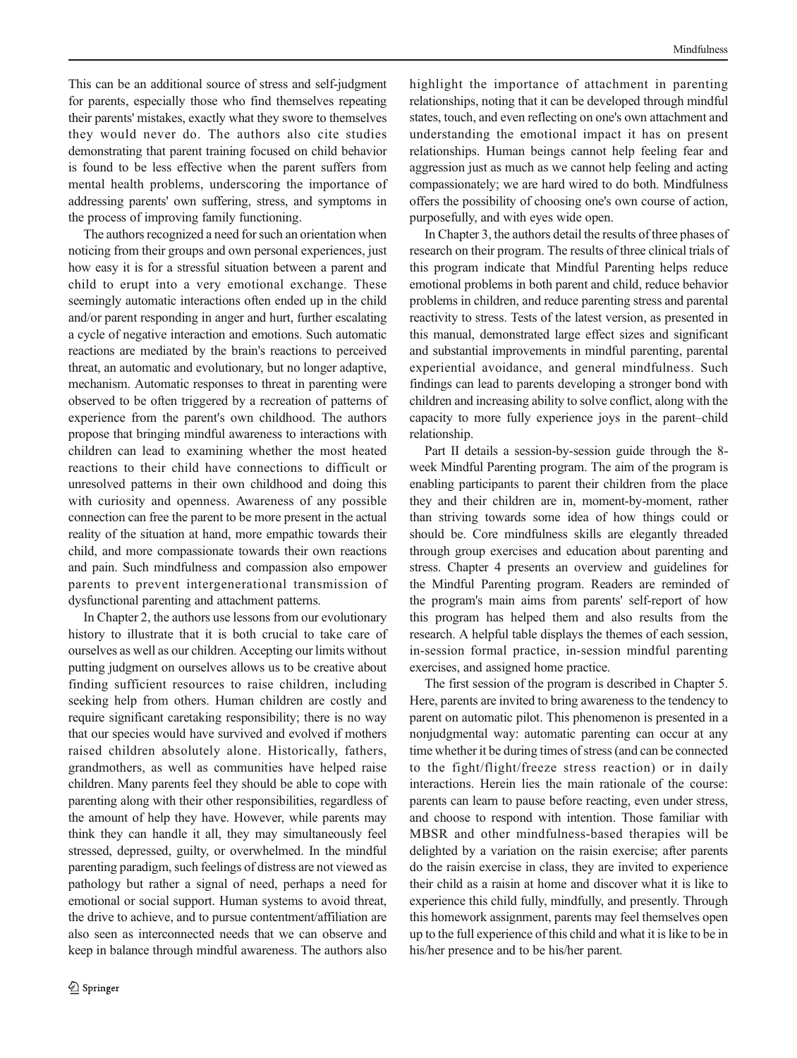This can be an additional source of stress and self-judgment for parents, especially those who find themselves repeating their parents' mistakes, exactly what they swore to themselves they would never do. The authors also cite studies demonstrating that parent training focused on child behavior is found to be less effective when the parent suffers from mental health problems, underscoring the importance of addressing parents' own suffering, stress, and symptoms in the process of improving family functioning.

The authors recognized a need for such an orientation when noticing from their groups and own personal experiences, just how easy it is for a stressful situation between a parent and child to erupt into a very emotional exchange. These seemingly automatic interactions often ended up in the child and/or parent responding in anger and hurt, further escalating a cycle of negative interaction and emotions. Such automatic reactions are mediated by the brain's reactions to perceived threat, an automatic and evolutionary, but no longer adaptive, mechanism. Automatic responses to threat in parenting were observed to be often triggered by a recreation of patterns of experience from the parent's own childhood. The authors propose that bringing mindful awareness to interactions with children can lead to examining whether the most heated reactions to their child have connections to difficult or unresolved patterns in their own childhood and doing this with curiosity and openness. Awareness of any possible connection can free the parent to be more present in the actual reality of the situation at hand, more empathic towards their child, and more compassionate towards their own reactions and pain. Such mindfulness and compassion also empower parents to prevent intergenerational transmission of dysfunctional parenting and attachment patterns.

In Chapter 2, the authors use lessons from our evolutionary history to illustrate that it is both crucial to take care of ourselves as well as our children. Accepting our limits without putting judgment on ourselves allows us to be creative about finding sufficient resources to raise children, including seeking help from others. Human children are costly and require significant caretaking responsibility; there is no way that our species would have survived and evolved if mothers raised children absolutely alone. Historically, fathers, grandmothers, as well as communities have helped raise children. Many parents feel they should be able to cope with parenting along with their other responsibilities, regardless of the amount of help they have. However, while parents may think they can handle it all, they may simultaneously feel stressed, depressed, guilty, or overwhelmed. In the mindful parenting paradigm, such feelings of distress are not viewed as pathology but rather a signal of need, perhaps a need for emotional or social support. Human systems to avoid threat, the drive to achieve, and to pursue contentment/affiliation are also seen as interconnected needs that we can observe and keep in balance through mindful awareness. The authors also

highlight the importance of attachment in parenting relationships, noting that it can be developed through mindful states, touch, and even reflecting on one's own attachment and understanding the emotional impact it has on present relationships. Human beings cannot help feeling fear and aggression just as much as we cannot help feeling and acting compassionately; we are hard wired to do both. Mindfulness offers the possibility of choosing one's own course of action, purposefully, and with eyes wide open.

In Chapter 3, the authors detail the results of three phases of research on their program. The results of three clinical trials of this program indicate that Mindful Parenting helps reduce emotional problems in both parent and child, reduce behavior problems in children, and reduce parenting stress and parental reactivity to stress. Tests of the latest version, as presented in this manual, demonstrated large effect sizes and significant and substantial improvements in mindful parenting, parental experiential avoidance, and general mindfulness. Such findings can lead to parents developing a stronger bond with children and increasing ability to solve conflict, along with the capacity to more fully experience joys in the parent–child relationship.

Part II details a session-by-session guide through the 8 week Mindful Parenting program. The aim of the program is enabling participants to parent their children from the place they and their children are in, moment-by-moment, rather than striving towards some idea of how things could or should be. Core mindfulness skills are elegantly threaded through group exercises and education about parenting and stress. Chapter 4 presents an overview and guidelines for the Mindful Parenting program. Readers are reminded of the program's main aims from parents' self-report of how this program has helped them and also results from the research. A helpful table displays the themes of each session, in-session formal practice, in-session mindful parenting exercises, and assigned home practice.

The first session of the program is described in Chapter 5. Here, parents are invited to bring awareness to the tendency to parent on automatic pilot. This phenomenon is presented in a nonjudgmental way: automatic parenting can occur at any time whether it be during times of stress (and can be connected to the fight/flight/freeze stress reaction) or in daily interactions. Herein lies the main rationale of the course: parents can learn to pause before reacting, even under stress, and choose to respond with intention. Those familiar with MBSR and other mindfulness-based therapies will be delighted by a variation on the raisin exercise; after parents do the raisin exercise in class, they are invited to experience their child as a raisin at home and discover what it is like to experience this child fully, mindfully, and presently. Through this homework assignment, parents may feel themselves open up to the full experience of this child and what it is like to be in his/her presence and to be his/her parent.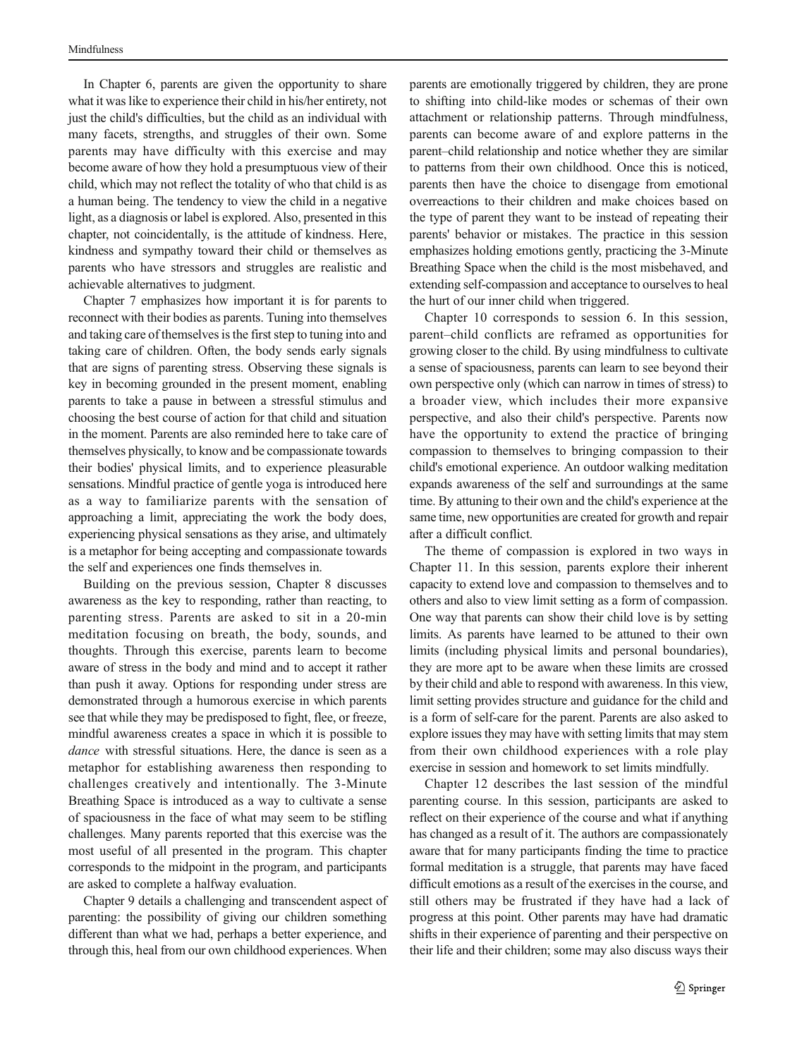In Chapter 6, parents are given the opportunity to share what it was like to experience their child in his/her entirety, not just the child's difficulties, but the child as an individual with many facets, strengths, and struggles of their own. Some parents may have difficulty with this exercise and may become aware of how they hold a presumptuous view of their child, which may not reflect the totality of who that child is as a human being. The tendency to view the child in a negative light, as a diagnosis or label is explored. Also, presented in this chapter, not coincidentally, is the attitude of kindness. Here, kindness and sympathy toward their child or themselves as parents who have stressors and struggles are realistic and achievable alternatives to judgment.

Chapter 7 emphasizes how important it is for parents to reconnect with their bodies as parents. Tuning into themselves and taking care of themselves is the first step to tuning into and taking care of children. Often, the body sends early signals that are signs of parenting stress. Observing these signals is key in becoming grounded in the present moment, enabling parents to take a pause in between a stressful stimulus and choosing the best course of action for that child and situation in the moment. Parents are also reminded here to take care of themselves physically, to know and be compassionate towards their bodies' physical limits, and to experience pleasurable sensations. Mindful practice of gentle yoga is introduced here as a way to familiarize parents with the sensation of approaching a limit, appreciating the work the body does, experiencing physical sensations as they arise, and ultimately is a metaphor for being accepting and compassionate towards the self and experiences one finds themselves in.

Building on the previous session, Chapter 8 discusses awareness as the key to responding, rather than reacting, to parenting stress. Parents are asked to sit in a 20-min meditation focusing on breath, the body, sounds, and thoughts. Through this exercise, parents learn to become aware of stress in the body and mind and to accept it rather than push it away. Options for responding under stress are demonstrated through a humorous exercise in which parents see that while they may be predisposed to fight, flee, or freeze, mindful awareness creates a space in which it is possible to dance with stressful situations. Here, the dance is seen as a metaphor for establishing awareness then responding to challenges creatively and intentionally. The 3-Minute Breathing Space is introduced as a way to cultivate a sense of spaciousness in the face of what may seem to be stifling challenges. Many parents reported that this exercise was the most useful of all presented in the program. This chapter corresponds to the midpoint in the program, and participants are asked to complete a halfway evaluation.

Chapter 9 details a challenging and transcendent aspect of parenting: the possibility of giving our children something different than what we had, perhaps a better experience, and through this, heal from our own childhood experiences. When

parents are emotionally triggered by children, they are prone to shifting into child-like modes or schemas of their own attachment or relationship patterns. Through mindfulness, parents can become aware of and explore patterns in the parent–child relationship and notice whether they are similar to patterns from their own childhood. Once this is noticed, parents then have the choice to disengage from emotional overreactions to their children and make choices based on the type of parent they want to be instead of repeating their parents' behavior or mistakes. The practice in this session emphasizes holding emotions gently, practicing the 3-Minute Breathing Space when the child is the most misbehaved, and extending self-compassion and acceptance to ourselves to heal the hurt of our inner child when triggered.

Chapter 10 corresponds to session 6. In this session, parent–child conflicts are reframed as opportunities for growing closer to the child. By using mindfulness to cultivate a sense of spaciousness, parents can learn to see beyond their own perspective only (which can narrow in times of stress) to a broader view, which includes their more expansive perspective, and also their child's perspective. Parents now have the opportunity to extend the practice of bringing compassion to themselves to bringing compassion to their child's emotional experience. An outdoor walking meditation expands awareness of the self and surroundings at the same time. By attuning to their own and the child's experience at the same time, new opportunities are created for growth and repair after a difficult conflict.

The theme of compassion is explored in two ways in Chapter 11. In this session, parents explore their inherent capacity to extend love and compassion to themselves and to others and also to view limit setting as a form of compassion. One way that parents can show their child love is by setting limits. As parents have learned to be attuned to their own limits (including physical limits and personal boundaries), they are more apt to be aware when these limits are crossed by their child and able to respond with awareness. In this view, limit setting provides structure and guidance for the child and is a form of self-care for the parent. Parents are also asked to explore issues they may have with setting limits that may stem from their own childhood experiences with a role play exercise in session and homework to set limits mindfully.

Chapter 12 describes the last session of the mindful parenting course. In this session, participants are asked to reflect on their experience of the course and what if anything has changed as a result of it. The authors are compassionately aware that for many participants finding the time to practice formal meditation is a struggle, that parents may have faced difficult emotions as a result of the exercises in the course, and still others may be frustrated if they have had a lack of progress at this point. Other parents may have had dramatic shifts in their experience of parenting and their perspective on their life and their children; some may also discuss ways their